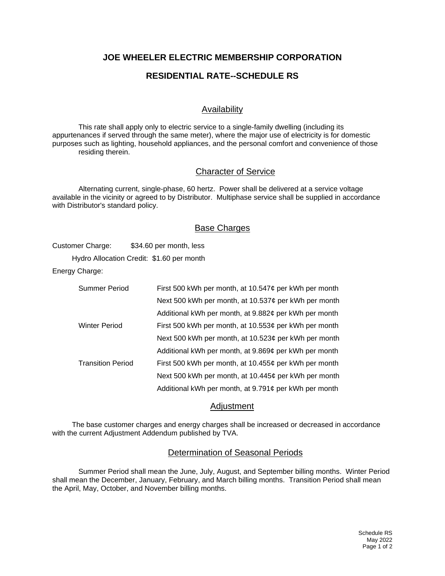## **JOE WHEELER ELECTRIC MEMBERSHIP CORPORATION**

# **RESIDENTIAL RATE--SCHEDULE RS**

## Availability

This rate shall apply only to electric service to a single-family dwelling (including its appurtenances if served through the same meter), where the major use of electricity is for domestic purposes such as lighting, household appliances, and the personal comfort and convenience of those residing therein.

#### Character of Service

Alternating current, single-phase, 60 hertz. Power shall be delivered at a service voltage available in the vicinity or agreed to by Distributor. Multiphase service shall be supplied in accordance with Distributor's standard policy.

#### Base Charges

Customer Charge: \$34.60 per month, less

Hydro Allocation Credit: \$1.60 per month

Energy Charge:

| <b>Summer Period</b>     | First 500 kWh per month, at 10.547¢ per kWh per month      |
|--------------------------|------------------------------------------------------------|
|                          | Next 500 kWh per month, at 10.537 $\phi$ per kWh per month |
|                          | Additional kWh per month, at 9.882¢ per kWh per month      |
| <b>Winter Period</b>     | First 500 kWh per month, at 10.553¢ per kWh per month      |
|                          | Next 500 kWh per month, at 10.523¢ per kWh per month       |
|                          | Additional kWh per month, at 9.869¢ per kWh per month      |
| <b>Transition Period</b> | First 500 kWh per month, at 10.455¢ per kWh per month      |
|                          | Next 500 kWh per month, at 10.445¢ per kWh per month       |
|                          | Additional kWh per month, at 9.791¢ per kWh per month      |

#### **Adjustment**

The base customer charges and energy charges shall be increased or decreased in accordance with the current Adjustment Addendum published by TVA.

#### Determination of Seasonal Periods

Summer Period shall mean the June, July, August, and September billing months. Winter Period shall mean the December, January, February, and March billing months. Transition Period shall mean the April, May, October, and November billing months.